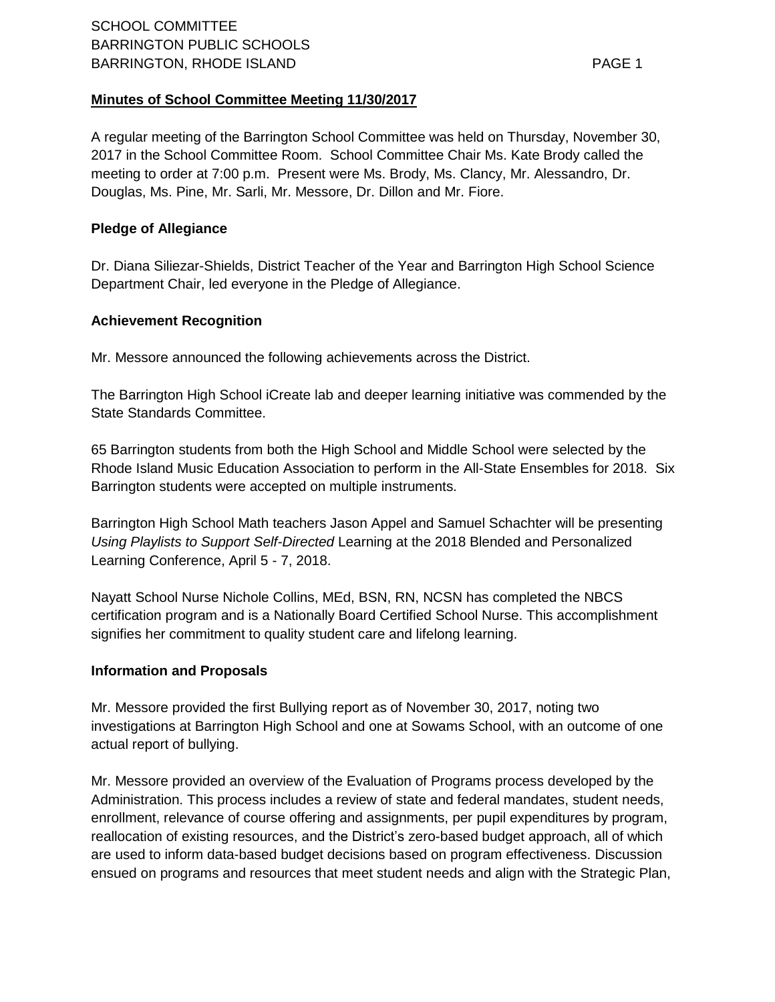A regular meeting of the Barrington School Committee was held on Thursday, November 30, 2017 in the School Committee Room. School Committee Chair Ms. Kate Brody called the meeting to order at 7:00 p.m. Present were Ms. Brody, Ms. Clancy, Mr. Alessandro, Dr. Douglas, Ms. Pine, Mr. Sarli, Mr. Messore, Dr. Dillon and Mr. Fiore.

# **Pledge of Allegiance**

Dr. Diana Siliezar-Shields, District Teacher of the Year and Barrington High School Science Department Chair, led everyone in the Pledge of Allegiance.

# **Achievement Recognition**

Mr. Messore announced the following achievements across the District.

The Barrington High School iCreate lab and deeper learning initiative was commended by the State Standards Committee.

65 Barrington students from both the High School and Middle School were selected by the Rhode Island Music Education Association to perform in the All-State Ensembles for 2018. Six Barrington students were accepted on multiple instruments.

Barrington High School Math teachers Jason Appel and Samuel Schachter will be presenting *Using Playlists to Support Self-Directed* Learning at the 2018 Blended and Personalized Learning Conference, April 5 - 7, 2018.

Nayatt School Nurse Nichole Collins, MEd, BSN, RN, NCSN has completed the NBCS certification program and is a Nationally Board Certified School Nurse. This accomplishment signifies her commitment to quality student care and lifelong learning.

# **Information and Proposals**

Mr. Messore provided the first Bullying report as of November 30, 2017, noting two investigations at Barrington High School and one at Sowams School, with an outcome of one actual report of bullying.

Mr. Messore provided an overview of the Evaluation of Programs process developed by the Administration. This process includes a review of state and federal mandates, student needs, enrollment, relevance of course offering and assignments, per pupil expenditures by program, reallocation of existing resources, and the District's zero-based budget approach, all of which are used to inform data-based budget decisions based on program effectiveness. Discussion ensued on programs and resources that meet student needs and align with the Strategic Plan,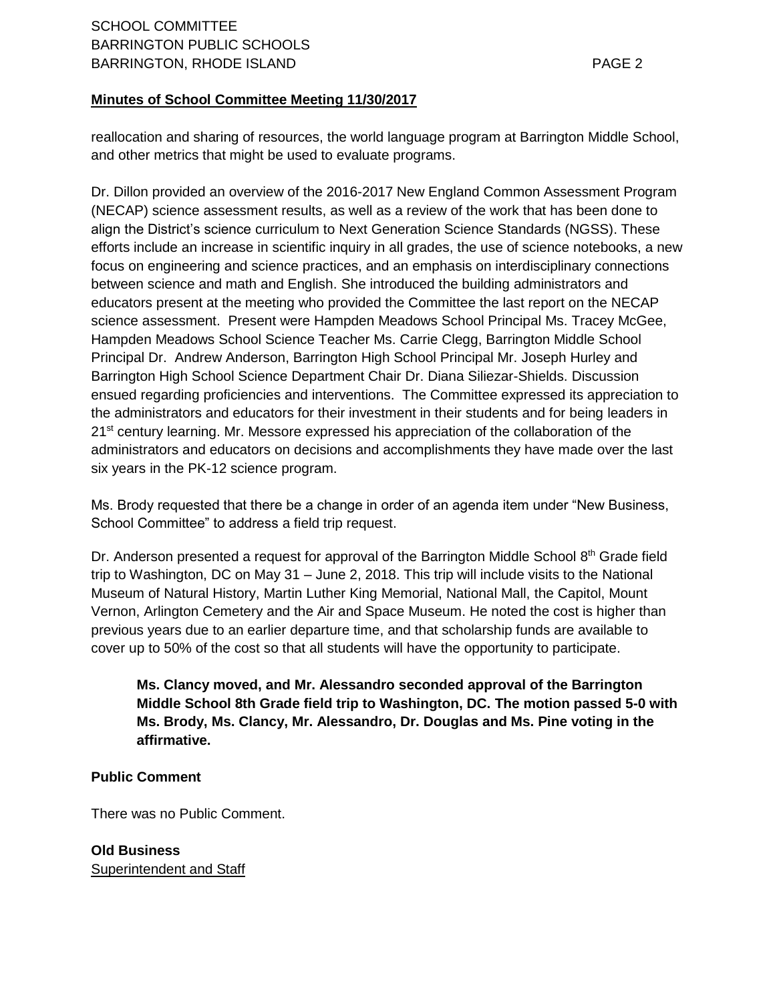reallocation and sharing of resources, the world language program at Barrington Middle School, and other metrics that might be used to evaluate programs.

Dr. Dillon provided an overview of the 2016-2017 New England Common Assessment Program (NECAP) science assessment results, as well as a review of the work that has been done to align the District's science curriculum to Next Generation Science Standards (NGSS). These efforts include an increase in scientific inquiry in all grades, the use of science notebooks, a new focus on engineering and science practices, and an emphasis on interdisciplinary connections between science and math and English. She introduced the building administrators and educators present at the meeting who provided the Committee the last report on the NECAP science assessment. Present were Hampden Meadows School Principal Ms. Tracey McGee, Hampden Meadows School Science Teacher Ms. Carrie Clegg, Barrington Middle School Principal Dr. Andrew Anderson, Barrington High School Principal Mr. Joseph Hurley and Barrington High School Science Department Chair Dr. Diana Siliezar-Shields. Discussion ensued regarding proficiencies and interventions. The Committee expressed its appreciation to the administrators and educators for their investment in their students and for being leaders in 21st century learning. Mr. Messore expressed his appreciation of the collaboration of the administrators and educators on decisions and accomplishments they have made over the last six years in the PK-12 science program.

Ms. Brody requested that there be a change in order of an agenda item under "New Business, School Committee" to address a field trip request.

Dr. Anderson presented a request for approval of the Barrington Middle School 8<sup>th</sup> Grade field trip to Washington, DC on May 31 – June 2, 2018. This trip will include visits to the National Museum of Natural History, Martin Luther King Memorial, National Mall, the Capitol, Mount Vernon, Arlington Cemetery and the Air and Space Museum. He noted the cost is higher than previous years due to an earlier departure time, and that scholarship funds are available to cover up to 50% of the cost so that all students will have the opportunity to participate.

**Ms. Clancy moved, and Mr. Alessandro seconded approval of the Barrington Middle School 8th Grade field trip to Washington, DC. The motion passed 5-0 with Ms. Brody, Ms. Clancy, Mr. Alessandro, Dr. Douglas and Ms. Pine voting in the affirmative.**

#### **Public Comment**

There was no Public Comment.

**Old Business** Superintendent and Staff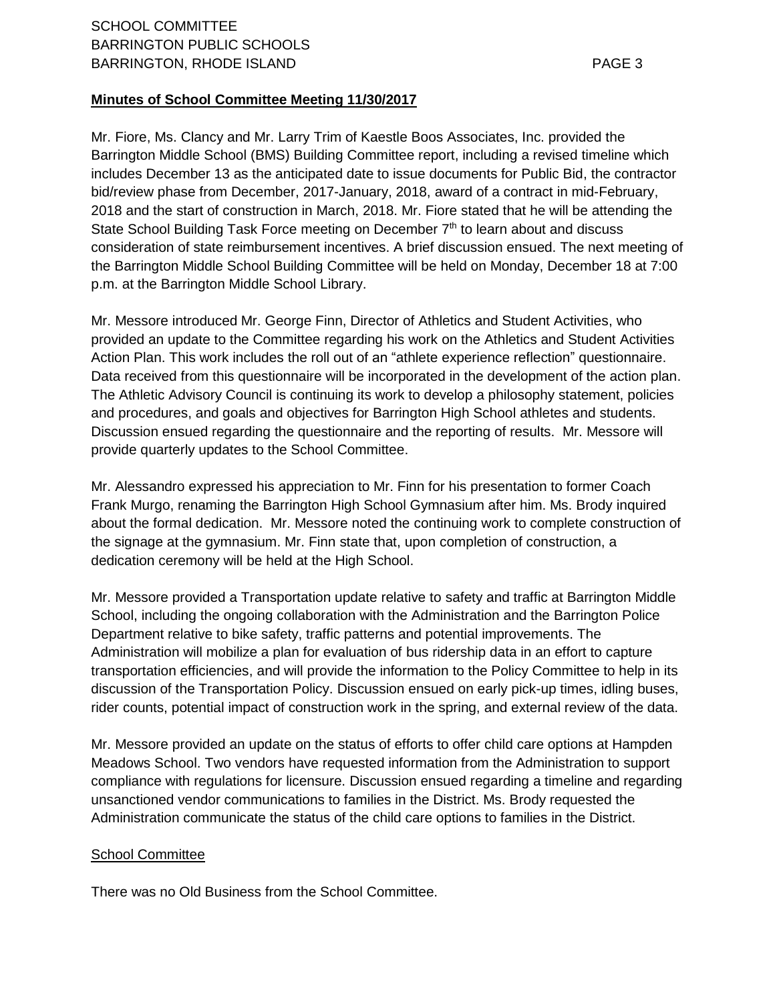Mr. Fiore, Ms. Clancy and Mr. Larry Trim of Kaestle Boos Associates, Inc. provided the Barrington Middle School (BMS) Building Committee report, including a revised timeline which includes December 13 as the anticipated date to issue documents for Public Bid, the contractor bid/review phase from December, 2017-January, 2018, award of a contract in mid-February, 2018 and the start of construction in March, 2018. Mr. Fiore stated that he will be attending the State School Building Task Force meeting on December  $7<sup>th</sup>$  to learn about and discuss consideration of state reimbursement incentives. A brief discussion ensued. The next meeting of the Barrington Middle School Building Committee will be held on Monday, December 18 at 7:00 p.m. at the Barrington Middle School Library.

Mr. Messore introduced Mr. George Finn, Director of Athletics and Student Activities, who provided an update to the Committee regarding his work on the Athletics and Student Activities Action Plan. This work includes the roll out of an "athlete experience reflection" questionnaire. Data received from this questionnaire will be incorporated in the development of the action plan. The Athletic Advisory Council is continuing its work to develop a philosophy statement, policies and procedures, and goals and objectives for Barrington High School athletes and students. Discussion ensued regarding the questionnaire and the reporting of results. Mr. Messore will provide quarterly updates to the School Committee.

Mr. Alessandro expressed his appreciation to Mr. Finn for his presentation to former Coach Frank Murgo, renaming the Barrington High School Gymnasium after him. Ms. Brody inquired about the formal dedication. Mr. Messore noted the continuing work to complete construction of the signage at the gymnasium. Mr. Finn state that, upon completion of construction, a dedication ceremony will be held at the High School.

Mr. Messore provided a Transportation update relative to safety and traffic at Barrington Middle School, including the ongoing collaboration with the Administration and the Barrington Police Department relative to bike safety, traffic patterns and potential improvements. The Administration will mobilize a plan for evaluation of bus ridership data in an effort to capture transportation efficiencies, and will provide the information to the Policy Committee to help in its discussion of the Transportation Policy. Discussion ensued on early pick-up times, idling buses, rider counts, potential impact of construction work in the spring, and external review of the data.

Mr. Messore provided an update on the status of efforts to offer child care options at Hampden Meadows School. Two vendors have requested information from the Administration to support compliance with regulations for licensure. Discussion ensued regarding a timeline and regarding unsanctioned vendor communications to families in the District. Ms. Brody requested the Administration communicate the status of the child care options to families in the District.

# School Committee

There was no Old Business from the School Committee.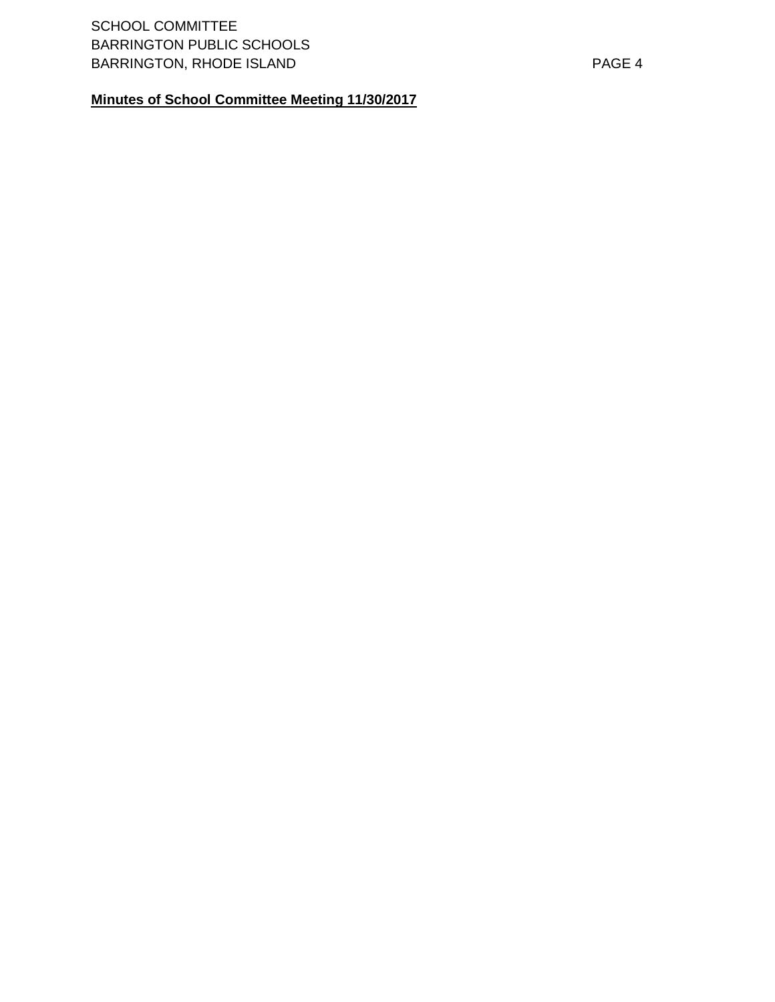# SCHOOL COMMITTEE BARRINGTON PUBLIC SCHOOLS BARRINGTON, RHODE ISLAND PAGE 4

**Minutes of School Committee Meeting 11/30/2017**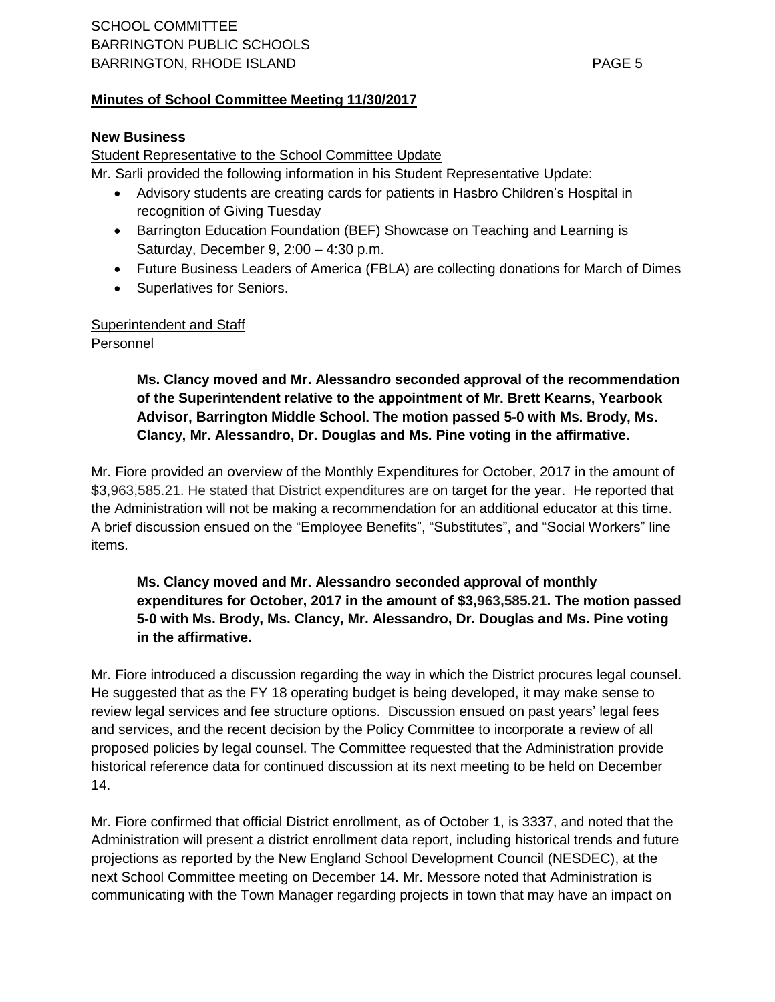# **New Business**

# Student Representative to the School Committee Update

Mr. Sarli provided the following information in his Student Representative Update:

- Advisory students are creating cards for patients in Hasbro Children's Hospital in recognition of Giving Tuesday
- Barrington Education Foundation (BEF) Showcase on Teaching and Learning is Saturday, December 9, 2:00 – 4:30 p.m.
- Future Business Leaders of America (FBLA) are collecting donations for March of Dimes
- Superlatives for Seniors.

# Superintendent and Staff

Personnel

**Ms. Clancy moved and Mr. Alessandro seconded approval of the recommendation of the Superintendent relative to the appointment of Mr. Brett Kearns, Yearbook Advisor, Barrington Middle School. The motion passed 5-0 with Ms. Brody, Ms. Clancy, Mr. Alessandro, Dr. Douglas and Ms. Pine voting in the affirmative.** 

Mr. Fiore provided an overview of the Monthly Expenditures for October, 2017 in the amount of \$3,963,585.21. He stated that District expenditures are on target for the year. He reported that the Administration will not be making a recommendation for an additional educator at this time. A brief discussion ensued on the "Employee Benefits", "Substitutes", and "Social Workers" line items.

**Ms. Clancy moved and Mr. Alessandro seconded approval of monthly expenditures for October, 2017 in the amount of \$3,963,585.21. The motion passed 5-0 with Ms. Brody, Ms. Clancy, Mr. Alessandro, Dr. Douglas and Ms. Pine voting in the affirmative.** 

Mr. Fiore introduced a discussion regarding the way in which the District procures legal counsel. He suggested that as the FY 18 operating budget is being developed, it may make sense to review legal services and fee structure options. Discussion ensued on past years' legal fees and services, and the recent decision by the Policy Committee to incorporate a review of all proposed policies by legal counsel. The Committee requested that the Administration provide historical reference data for continued discussion at its next meeting to be held on December 14.

Mr. Fiore confirmed that official District enrollment, as of October 1, is 3337, and noted that the Administration will present a district enrollment data report, including historical trends and future projections as reported by the New England School Development Council (NESDEC), at the next School Committee meeting on December 14. Mr. Messore noted that Administration is communicating with the Town Manager regarding projects in town that may have an impact on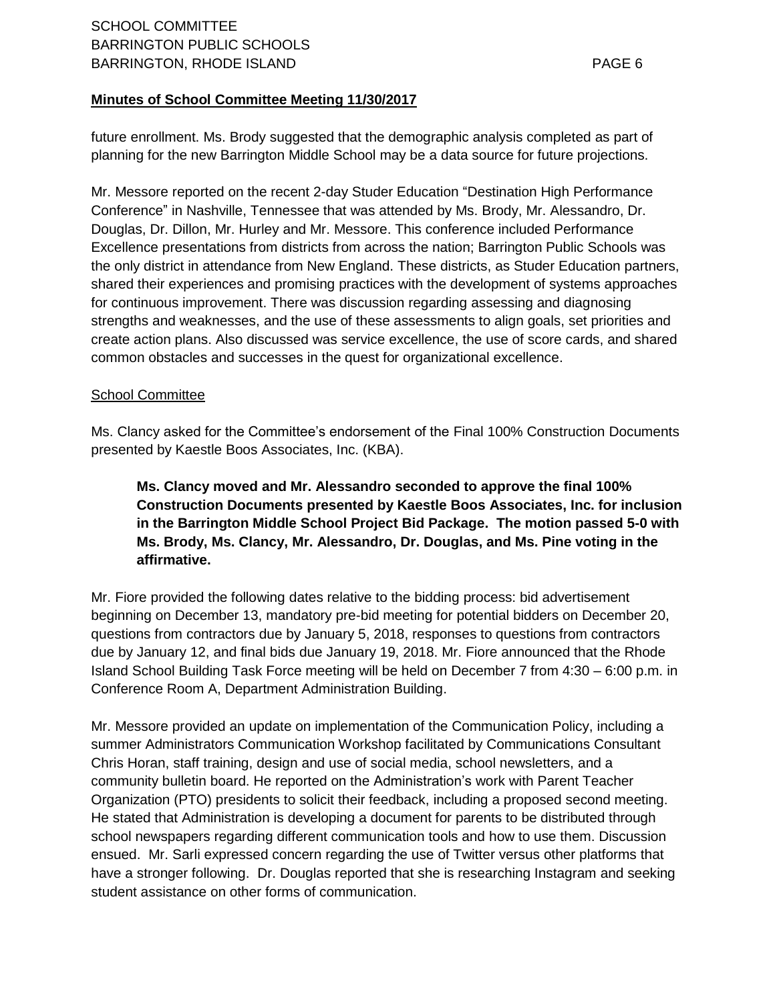future enrollment. Ms. Brody suggested that the demographic analysis completed as part of planning for the new Barrington Middle School may be a data source for future projections.

Mr. Messore reported on the recent 2-day Studer Education "Destination High Performance Conference" in Nashville, Tennessee that was attended by Ms. Brody, Mr. Alessandro, Dr. Douglas, Dr. Dillon, Mr. Hurley and Mr. Messore. This conference included Performance Excellence presentations from districts from across the nation; Barrington Public Schools was the only district in attendance from New England. These districts, as Studer Education partners, shared their experiences and promising practices with the development of systems approaches for continuous improvement. There was discussion regarding assessing and diagnosing strengths and weaknesses, and the use of these assessments to align goals, set priorities and create action plans. Also discussed was service excellence, the use of score cards, and shared common obstacles and successes in the quest for organizational excellence.

#### School Committee

Ms. Clancy asked for the Committee's endorsement of the Final 100% Construction Documents presented by Kaestle Boos Associates, Inc. (KBA).

**Ms. Clancy moved and Mr. Alessandro seconded to approve the final 100% Construction Documents presented by Kaestle Boos Associates, Inc. for inclusion in the Barrington Middle School Project Bid Package. The motion passed 5-0 with Ms. Brody, Ms. Clancy, Mr. Alessandro, Dr. Douglas, and Ms. Pine voting in the affirmative.**

Mr. Fiore provided the following dates relative to the bidding process: bid advertisement beginning on December 13, mandatory pre-bid meeting for potential bidders on December 20, questions from contractors due by January 5, 2018, responses to questions from contractors due by January 12, and final bids due January 19, 2018. Mr. Fiore announced that the Rhode Island School Building Task Force meeting will be held on December 7 from 4:30 – 6:00 p.m. in Conference Room A, Department Administration Building.

Mr. Messore provided an update on implementation of the Communication Policy, including a summer Administrators Communication Workshop facilitated by Communications Consultant Chris Horan, staff training, design and use of social media, school newsletters, and a community bulletin board. He reported on the Administration's work with Parent Teacher Organization (PTO) presidents to solicit their feedback, including a proposed second meeting. He stated that Administration is developing a document for parents to be distributed through school newspapers regarding different communication tools and how to use them. Discussion ensued. Mr. Sarli expressed concern regarding the use of Twitter versus other platforms that have a stronger following. Dr. Douglas reported that she is researching Instagram and seeking student assistance on other forms of communication.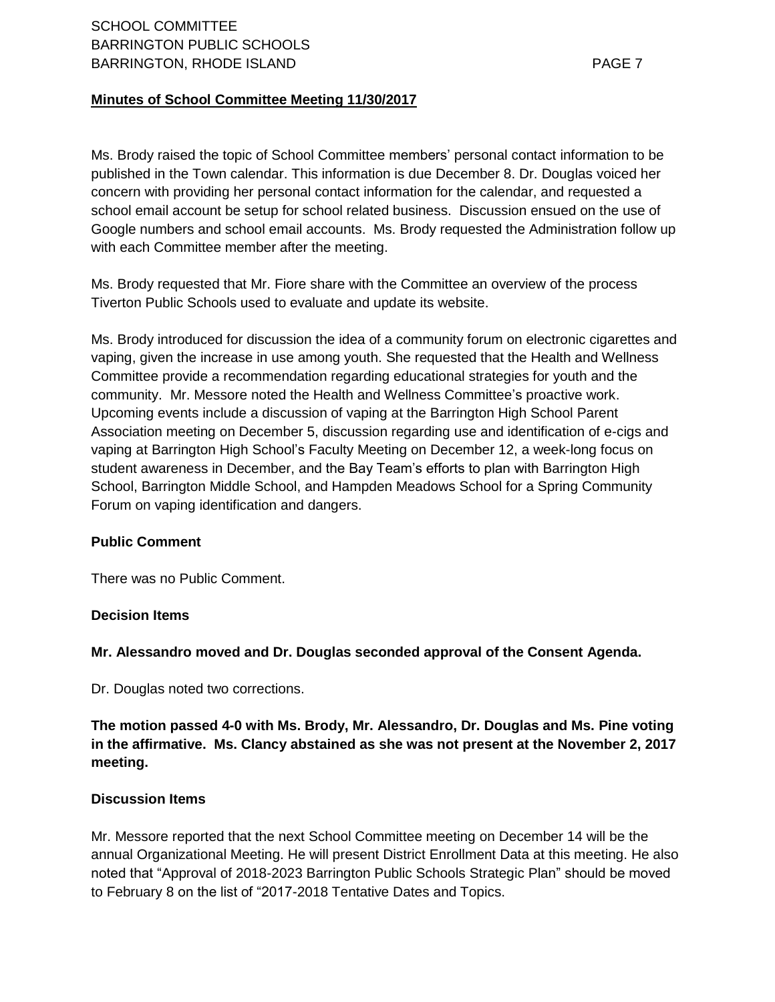Ms. Brody raised the topic of School Committee members' personal contact information to be published in the Town calendar. This information is due December 8. Dr. Douglas voiced her concern with providing her personal contact information for the calendar, and requested a school email account be setup for school related business. Discussion ensued on the use of Google numbers and school email accounts. Ms. Brody requested the Administration follow up with each Committee member after the meeting.

Ms. Brody requested that Mr. Fiore share with the Committee an overview of the process Tiverton Public Schools used to evaluate and update its website.

Ms. Brody introduced for discussion the idea of a community forum on electronic cigarettes and vaping, given the increase in use among youth. She requested that the Health and Wellness Committee provide a recommendation regarding educational strategies for youth and the community. Mr. Messore noted the Health and Wellness Committee's proactive work. Upcoming events include a discussion of vaping at the Barrington High School Parent Association meeting on December 5, discussion regarding use and identification of e-cigs and vaping at Barrington High School's Faculty Meeting on December 12, a week-long focus on student awareness in December, and the Bay Team's efforts to plan with Barrington High School, Barrington Middle School, and Hampden Meadows School for a Spring Community Forum on vaping identification and dangers.

# **Public Comment**

There was no Public Comment.

# **Decision Items**

**Mr. Alessandro moved and Dr. Douglas seconded approval of the Consent Agenda.** 

Dr. Douglas noted two corrections.

**The motion passed 4-0 with Ms. Brody, Mr. Alessandro, Dr. Douglas and Ms. Pine voting in the affirmative. Ms. Clancy abstained as she was not present at the November 2, 2017 meeting.**

# **Discussion Items**

Mr. Messore reported that the next School Committee meeting on December 14 will be the annual Organizational Meeting. He will present District Enrollment Data at this meeting. He also noted that "Approval of 2018-2023 Barrington Public Schools Strategic Plan" should be moved to February 8 on the list of "2017-2018 Tentative Dates and Topics.